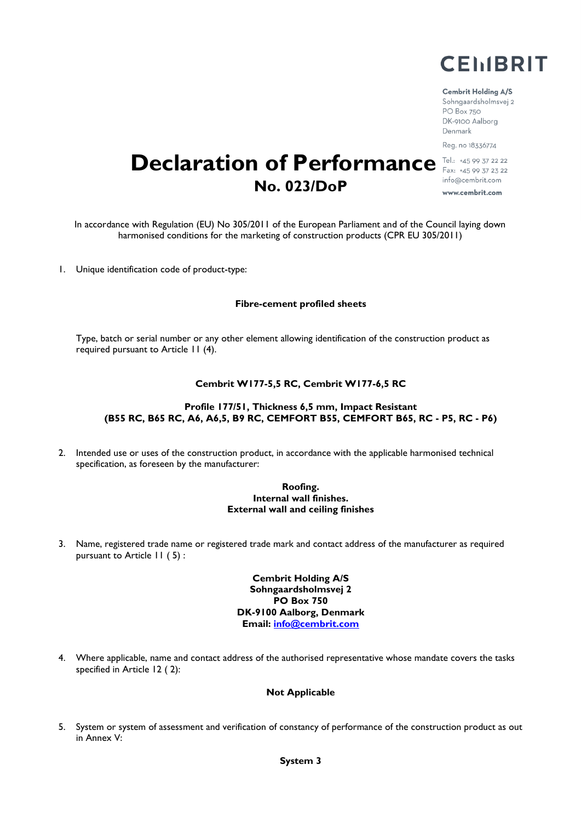

#### **Cembrit Holding A/S**

Sohngaardsholmsvej 2 PO Box 750 DK-9100 Aalborg Denmark Reg. no 18336774

# **Declaration of Performance** Fel.: +45 99 37 22 22 info@cembrit.com **No. 023/DoP** www.cembrit.com

In accordance with Regulation (EU) No 305/2011 of the European Parliament and of the Council laying down harmonised conditions for the marketing of construction products (CPR EU 305/2011)

1. Unique identification code of product-type:

#### **Fibre-cement profiled sheets**

Type, batch or serial number or any other element allowing identification of the construction product as required pursuant to Article 11 (4).

#### **Cembrit W177-5,5 RC, Cembrit W177-6,5 RC**

#### **Profile 177/51, Thickness 6,5 mm, Impact Resistant (B55 RC, B65 RC, A6, A6,5, B9 RC, CEMFORT B55, CEMFORT B65, RC - P5, RC - P6)**

2. Intended use or uses of the construction product, in accordance with the applicable harmonised technical specification, as foreseen by the manufacturer:

#### **Roofing. Internal wall finishes. External wall and ceiling finishes**

3. Name, registered trade name or registered trade mark and contact address of the manufacturer as required pursuant to Article 11 ( 5) :

> **Cembrit Holding A/S Sohngaardsholmsvej 2 PO Box 750 DK-9100 Aalborg, Denmark Email: info@cembrit.com**

4. Where applicable, name and contact address of the authorised representative whose mandate covers the tasks specified in Article 12 ( 2):

#### **Not Applicable**

5. System or system of assessment and verification of constancy of performance of the construction product as out in Annex V: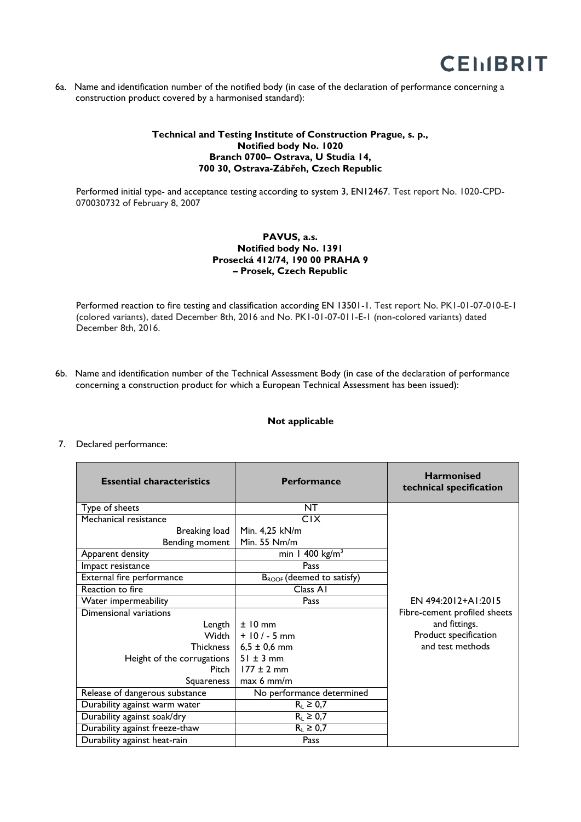

6a. Name and identification number of the notified body (in case of the declaration of performance concerning a construction product covered by a harmonised standard):

# **Technical and Testing Institute of Construction Prague, s. p., Notified body No. 1020 Branch 0700– Ostrava, U Studia 14, 700 30, Ostrava-Zábřeh, Czech Republic**

Performed initial type- and acceptance testing according to system 3, EN12467. Test report No. 1020-CPD-070030732 of February 8, 2007

# **PAVUS, a.s. Notified body No. 1391 Prosecká 412/74, 190 00 PRAHA 9 – Prosek, Czech Republic**

Performed reaction to fire testing and classification according EN 13501-1. Test report No. PK1-01-07-010-E-1 (colored variants), dated December 8th, 2016 and No. PK1-01-07-011-E-1 (non-colored variants) dated December 8th, 2016.

6b. Name and identification number of the Technical Assessment Body (in case of the declaration of performance concerning a construction product for which a European Technical Assessment has been issued):

## **Not applicable**

## 7. Declared performance:

| <b>Essential characteristics</b> | <b>Performance</b>                    | <b>Harmonised</b><br>technical specification |
|----------------------------------|---------------------------------------|----------------------------------------------|
| Type of sheets                   | NT                                    |                                              |
| Mechanical resistance            | <b>CIX</b>                            |                                              |
| Breaking load                    | Min. 4,25 kN/m                        |                                              |
| Bending moment                   | Min. 55 Nm/m                          |                                              |
| Apparent density                 | min 1 400 $\text{kg/m}^3$             |                                              |
| Impact resistance                | Pass                                  |                                              |
| External fire performance        | B <sub>ROOF</sub> (deemed to satisfy) |                                              |
| Reaction to fire                 | Class AI                              |                                              |
| Water impermeability             | Pass                                  | EN 494:2012+A1:2015                          |
| Dimensional variations           |                                       | Fibre-cement profiled sheets                 |
| Length                           | $±10$ mm                              | and fittings.                                |
| Width I                          | $+ 10 / - 5$ mm                       | Product specification                        |
| Thickness                        | $6,5 \pm 0,6$ mm                      | and test methods                             |
| Height of the corrugations       | $51 \pm 3$ mm                         |                                              |
| Pitch I                          | $177 \pm 2$ mm                        |                                              |
| Squareness                       | $max 6$ mm/m                          |                                              |
| Release of dangerous substance   | No performance determined             |                                              |
| Durability against warm water    | $R_L \geq 0.7$                        |                                              |
| Durability against soak/dry      | $R_L \geq 0.7$                        |                                              |
| Durability against freeze-thaw   | $R_L \geq 0.7$                        |                                              |
| Durability against heat-rain     | Pass                                  |                                              |